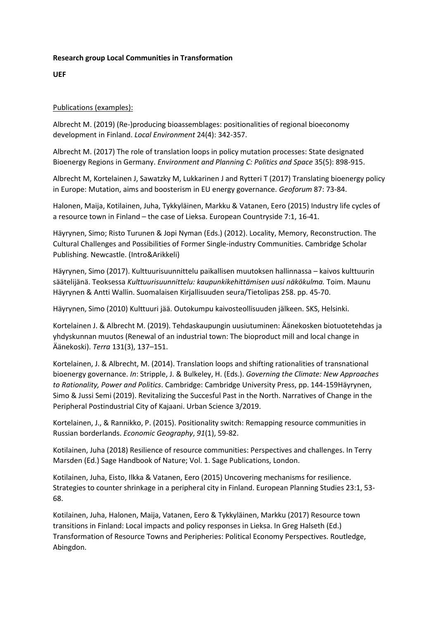## **Research group Local Communities in Transformation**

**UEF**

## Publications (examples):

Albrecht M. (2019) (Re-)producing bioassemblages: positionalities of regional bioeconomy development in Finland. *Local Environment* 24(4): 342-357.

Albrecht M. (2017) The role of translation loops in policy mutation processes: State designated Bioenergy Regions in Germany. *Environment and Planning C: Politics and Space* 35(5): 898-915.

Albrecht M, Kortelainen J, Sawatzky M, Lukkarinen J and Rytteri T (2017) Translating bioenergy policy in Europe: Mutation, aims and boosterism in EU energy governance. *Geoforum* 87: 73-84.

Halonen, Maija, Kotilainen, Juha, Tykkyläinen, Markku & Vatanen, Eero (2015) Industry life cycles of a resource town in Finland – the case of Lieksa. European Countryside 7:1, 16-41.

Häyrynen, Simo; Risto Turunen & Jopi Nyman (Eds.) (2012). Locality, Memory, Reconstruction. The Cultural Challenges and Possibilities of Former Single-industry Communities. Cambridge Scholar Publishing. Newcastle. (Intro&Arikkeli)

Häyrynen, Simo (2017). Kulttuurisuunnittelu paikallisen muutoksen hallinnassa – kaivos kulttuurin säätelijänä. Teoksessa *Kulttuurisuunnittelu: kaupunkikehittämisen uusi näkökulma.* Toim. Maunu Häyrynen & Antti Wallin. Suomalaisen Kirjallisuuden seura/Tietolipas 258. pp. 45-70.

Häyrynen, Simo (2010) Kulttuuri jää. Outokumpu kaivosteollisuuden jälkeen. SKS, Helsinki.

Kortelainen J. & Albrecht M. (2019). Tehdaskaupungin uusiutuminen: Äänekosken biotuotetehdas ja yhdyskunnan muutos (Renewal of an industrial town: The bioproduct mill and local change in Äänekoski). *Terra* 131(3), 137–151.

Kortelainen, J. & Albrecht, M. (2014). Translation loops and shifting rationalities of transnational bioenergy governance. *In*: Stripple, J. & Bulkeley, H. (Eds.). *Governing the Climate: New Approaches to Rationality, Power and Politics*. Cambridge: Cambridge University Press, pp. 144-159Häyrynen, Simo & Jussi Semi (2019). Revitalizing the Succesful Past in the North. Narratives of Change in the Peripheral Postindustrial City of Kajaani. Urban Science 3/2019.

Kortelainen, J., & Rannikko, P. (2015). Positionality switch: Remapping resource communities in Russian borderlands. *Economic Geography*, *91*(1), 59-82.

Kotilainen, Juha (2018) Resilience of resource communities: Perspectives and challenges. In Terry Marsden (Ed.) Sage Handbook of Nature; Vol. 1. Sage Publications, London.

Kotilainen, Juha, Eisto, Ilkka & Vatanen, Eero (2015) Uncovering mechanisms for resilience. Strategies to counter shrinkage in a peripheral city in Finland. European Planning Studies 23:1, 53- 68.

Kotilainen, Juha, Halonen, Maija, Vatanen, Eero & Tykkyläinen, Markku (2017) Resource town transitions in Finland: Local impacts and policy responses in Lieksa. In Greg Halseth (Ed.) Transformation of Resource Towns and Peripheries: Political Economy Perspectives. Routledge, Abingdon.